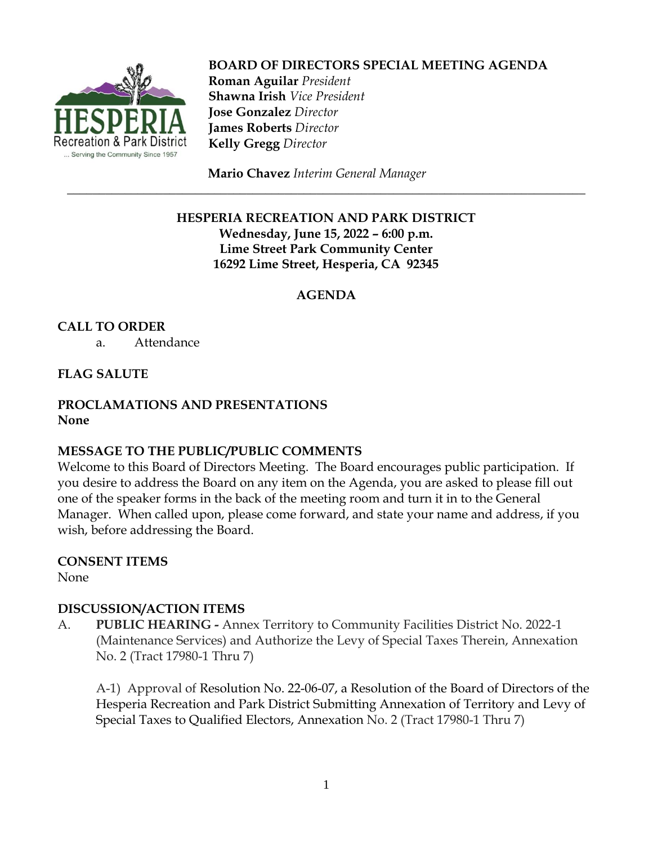

 **BOARD OF DIRECTORS SPECIAL MEETING AGENDA Roman Aguilar** *President*  **Shawna Irish** *Vice President*  **Jose Gonzalez** *Director*  **James Roberts** *Director*  **Kelly Gregg** *Director*

**Mario Chavez** *Interim General Manager*

## **HESPERIA RECREATION AND PARK DISTRICT Wednesday, June 15, 2022 – 6:00 p.m. Lime Street Park Community Center 16292 Lime Street, Hesperia, CA 92345**

\_\_\_\_\_\_\_\_\_\_\_\_\_\_\_\_\_\_\_\_\_\_\_\_\_\_\_\_\_\_\_\_\_\_\_\_\_\_\_\_\_\_\_\_\_\_\_\_\_\_\_\_\_\_\_\_\_\_\_\_\_\_\_\_\_\_\_\_\_\_\_\_\_\_\_\_\_\_\_\_\_

## **AGENDA**

**CALL TO ORDER**

a. Attendance

### **FLAG SALUTE**

### **PROCLAMATIONS AND PRESENTATIONS None**

#### **MESSAGE TO THE PUBLIC/PUBLIC COMMENTS**

Welcome to this Board of Directors Meeting. The Board encourages public participation. If you desire to address the Board on any item on the Agenda, you are asked to please fill out one of the speaker forms in the back of the meeting room and turn it in to the General Manager. When called upon, please come forward, and state your name and address, if you wish, before addressing the Board.

#### **CONSENT ITEMS**

None

## **DISCUSSION/ACTION ITEMS**

A. **PUBLIC HEARING -** Annex Territory to Community Facilities District No. 2022-1 (Maintenance Services) and Authorize the Levy of Special Taxes Therein, Annexation No. 2 (Tract 17980-1 Thru 7)

A-1) Approval of Resolution No. 22-06-07, a Resolution of the Board of Directors of the Hesperia Recreation and Park District Submitting Annexation of Territory and Levy of Special Taxes to Qualified Electors, Annexation No. 2 (Tract 17980-1 Thru 7)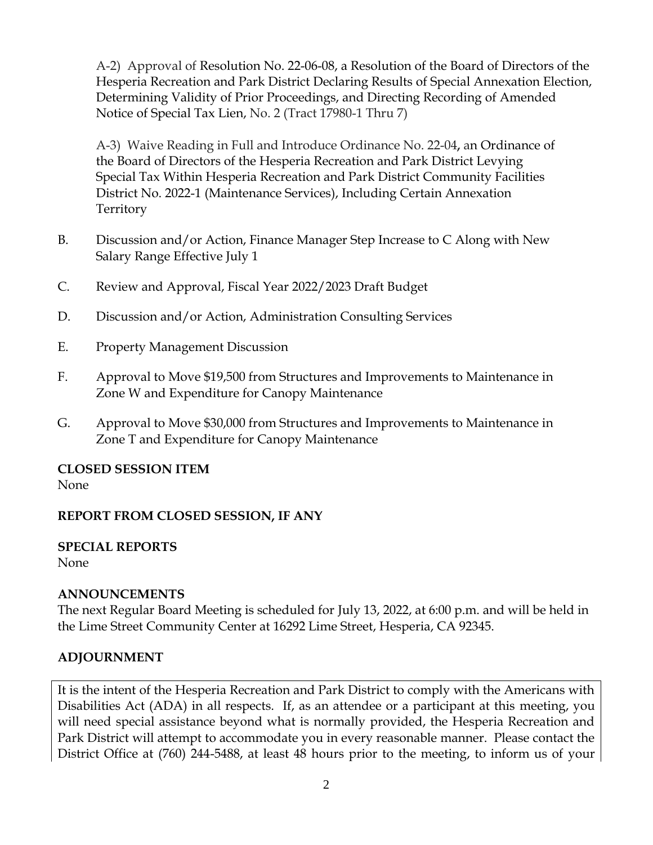A-2) Approval of Resolution No. 22-06-08, a Resolution of the Board of Directors of the Hesperia Recreation and Park District Declaring Results of Special Annexation Election, Determining Validity of Prior Proceedings, and Directing Recording of Amended Notice of Special Tax Lien, No. 2 (Tract 17980-1 Thru 7)

A-3) Waive Reading in Full and Introduce Ordinance No. 22-04**,** an Ordinance of the Board of Directors of the Hesperia Recreation and Park District Levying Special Tax Within Hesperia Recreation and Park District Community Facilities District No. 2022-1 (Maintenance Services), Including Certain Annexation Territory

- B. Discussion and/or Action, Finance Manager Step Increase to C Along with New Salary Range Effective July 1
- C. Review and Approval, Fiscal Year 2022/2023 Draft Budget
- D. Discussion and/or Action, Administration Consulting Services
- E. Property Management Discussion
- F. Approval to Move \$19,500 from Structures and Improvements to Maintenance in Zone W and Expenditure for Canopy Maintenance
- G. Approval to Move \$30,000 from Structures and Improvements to Maintenance in Zone T and Expenditure for Canopy Maintenance

**CLOSED SESSION ITEM** None

## **REPORT FROM CLOSED SESSION, IF ANY**

**SPECIAL REPORTS** None

# **ANNOUNCEMENTS**

The next Regular Board Meeting is scheduled for July 13, 2022, at 6:00 p.m. and will be held in the Lime Street Community Center at 16292 Lime Street, Hesperia, CA 92345.

# **ADJOURNMENT**

It is the intent of the Hesperia Recreation and Park District to comply with the Americans with Disabilities Act (ADA) in all respects. If, as an attendee or a participant at this meeting, you will need special assistance beyond what is normally provided, the Hesperia Recreation and Park District will attempt to accommodate you in every reasonable manner. Please contact the District Office at (760) 244-5488, at least 48 hours prior to the meeting, to inform us of your